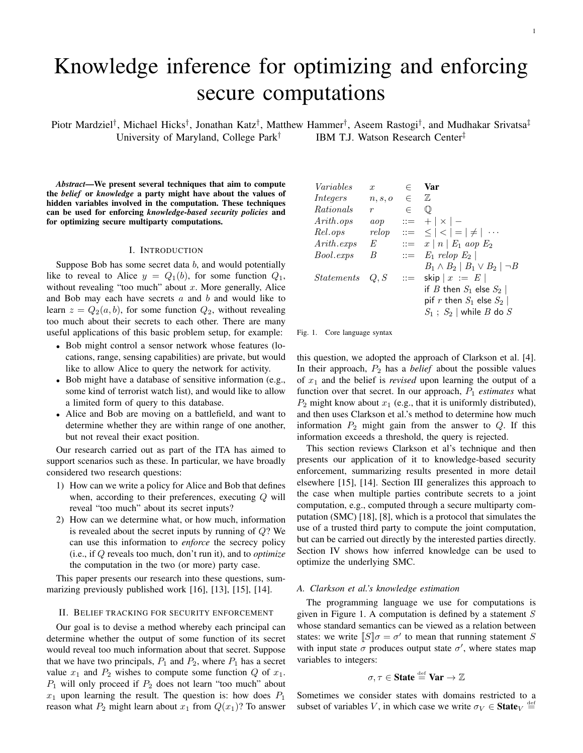# Knowledge inference for optimizing and enforcing secure computations

Piotr Mardziel<sup>†</sup>, Michael Hicks<sup>†</sup>, Jonathan Katz<sup>†</sup>, Matthew Hammer<sup>†</sup>, Aseem Rastogi<sup>†</sup>, and Mudhakar Srivatsa<sup>‡</sup> University of Maryland, College Park† IBM T.J. Watson Research Center‡

*Abstract*—We present several techniques that aim to compute the *belief* or *knowledge* a party might have about the values of hidden variables involved in the computation. These techniques can be used for enforcing *knowledge-based security policies* and for optimizing secure multiparty computations.

#### I. INTRODUCTION

Suppose Bob has some secret data  $b$ , and would potentially like to reveal to Alice  $y = Q_1(b)$ , for some function  $Q_1$ , without revealing "too much" about  $x$ . More generally, Alice and Bob may each have secrets  $a$  and  $b$  and would like to learn  $z = Q_2(a, b)$ , for some function  $Q_2$ , without revealing too much about their secrets to each other. There are many useful applications of this basic problem setup, for example:

- Bob might control a sensor network whose features (locations, range, sensing capabilities) are private, but would like to allow Alice to query the network for activity.
- Bob might have a database of sensitive information (e.g., some kind of terrorist watch list), and would like to allow a limited form of query to this database.
- Alice and Bob are moving on a battlefield, and want to determine whether they are within range of one another, but not reveal their exact position.

Our research carried out as part of the ITA has aimed to support scenarios such as these. In particular, we have broadly considered two research questions:

- 1) How can we write a policy for Alice and Bob that defines when, according to their preferences, executing  $Q$  will reveal "too much" about its secret inputs?
- 2) How can we determine what, or how much, information is revealed about the secret inputs by running of  $Q$ ? We can use this information to *enforce* the secrecy policy (i.e., if Q reveals too much, don't run it), and to *optimize* the computation in the two (or more) party case.

This paper presents our research into these questions, summarizing previously published work [16], [13], [15], [14].

#### II. BELIEF TRACKING FOR SECURITY ENFORCEMENT

Our goal is to devise a method whereby each principal can determine whether the output of some function of its secret would reveal too much information about that secret. Suppose that we have two principals,  $P_1$  and  $P_2$ , where  $P_1$  has a secret value  $x_1$  and  $P_2$  wishes to compute some function  $Q$  of  $x_1$ .  $P_1$  will only proceed if  $P_2$  does not learn "too much" about  $x_1$  upon learning the result. The question is: how does  $P_1$ reason what  $P_2$  might learn about  $x_1$  from  $Q(x_1)$ ? To answer

| Variables         | $\mathfrak{X}$ | $\in$      | Var                                            |
|-------------------|----------------|------------|------------------------------------------------|
| Integers          | n, s, o        | $\epsilon$ | 7,                                             |
| Rationals         | r              | $\in$      | $\mathbb{O}$                                   |
| Arith.ops         | aop            |            | $ ::= +   \times   -$                          |
| Rel.ops           | relop          |            | $\  \cdot \  = \le   \cdot   =   \ne   \cdots$ |
| Arith. exps       | E              |            | $ ::= x   n   E_1 \text{ aop } E_2$            |
| Bool.exps         | B              |            | $\therefore$ $E_1$ relop $E_2$                 |
|                   |                |            | $B_1 \wedge B_2 \mid B_1 \vee B_2 \mid \neg B$ |
| <i>Statements</i> | Q, S           |            | $ ::=$ skip $x := E$                           |
|                   |                |            | if $B$ then $S_1$ else $S_2$                   |
|                   |                |            | pif r then $S_1$ else $S_2$                    |
|                   |                |            | $S_1$ ; $S_2$   while $B$ do $S$               |

Fig. 1. Core language syntax

this question, we adopted the approach of Clarkson et al. [4]. In their approach,  $P_2$  has a *belief* about the possible values of  $x_1$  and the belief is *revised* upon learning the output of a function over that secret. In our approach,  $P_1$  *estimates* what  $P_2$  might know about  $x_1$  (e.g., that it is uniformly distributed), and then uses Clarkson et al.'s method to determine how much information  $P_2$  might gain from the answer to  $Q$ . If this information exceeds a threshold, the query is rejected.

This section reviews Clarkson et al's technique and then presents our application of it to knowledge-based security enforcement, summarizing results presented in more detail elsewhere [15], [14]. Section III generalizes this approach to the case when multiple parties contribute secrets to a joint computation, e.g., computed through a secure multiparty computation (SMC) [18], [8], which is a protocol that simulates the use of a trusted third party to compute the joint computation, but can be carried out directly by the interested parties directly. Section IV shows how inferred knowledge can be used to optimize the underlying SMC.

#### *A. Clarkson et al.'s knowledge estimation*

The programming language we use for computations is given in Figure 1. A computation is defined by a statement  $S$ whose standard semantics can be viewed as a relation between states: we write  $\llbracket S \rrbracket \sigma = \sigma'$  to mean that running statement S with input state  $\sigma$  produces output state  $\sigma'$ , where states map variables to integers:

# $\sigma$ ,  $\tau \in$  State  $\stackrel{\text{def}}{=}$  Var  $\rightarrow \mathbb{Z}$

Sometimes we consider states with domains restricted to a subset of variables V, in which case we write  $\sigma_V \in \textbf{State}_V \stackrel{\text{def}}{=}$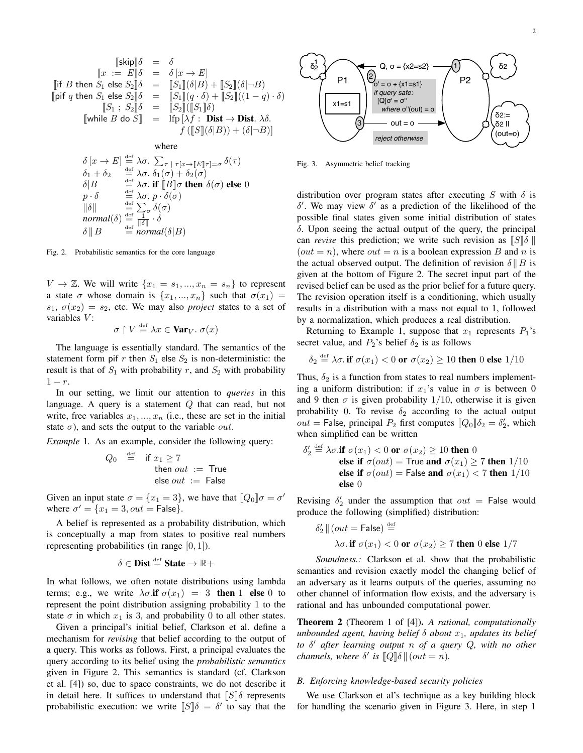[[skip]]δ = δ [[x := E]]δ = δ [x → E] [[if B then S<sup>1</sup> else S2]]δ = [[S1]](δ|B) + [[S2]](δ|¬B) [[pif q then S<sup>1</sup> else S2]]δ = [[S1]](q · δ) + [[S2]]((1 − q) · δ) [[S<sup>1</sup> ; S2]]δ = [[S2]]([[S1]]δ) [[while B do S]] = lfp [λf : Dist → Dist. λδ. f ([[S]](δ|B)) + (δ|¬B)]

where

$$
\delta[x \to E] \stackrel{\text{def}}{=} \lambda \sigma. \sum_{\tau \upharpoonright \tau[x \to [E]\tau] = \sigma} \delta(\tau)
$$
\n
$$
\delta_1 + \delta_2 \stackrel{\text{def}}{=} \lambda \sigma. \delta_1(\sigma) + \delta_2(\sigma)
$$
\n
$$
\delta|B \stackrel{\text{def}}{=} \lambda \sigma. \text{ if } [B] \sigma \text{ then } \delta(\sigma) \text{ else } 0
$$
\n
$$
p \cdot \delta \stackrel{\text{def}}{=} \lambda \sigma. p \cdot \delta(\sigma)
$$
\n
$$
||\delta|| \stackrel{\text{def}}{=} \sum_{\tau \upharpoonright \sigma} \delta(\sigma)
$$
\n
$$
normal(\delta) \stackrel{\text{def}}{=} \frac{1}{||\delta||} \cdot \delta
$$
\n
$$
\delta || B \stackrel{\text{def}}{=} normal(\delta | B)
$$

Fig. 2. Probabilistic semantics for the core language

 $V \to \mathbb{Z}$ . We will write  $\{x_1 = s_1, ..., x_n = s_n\}$  to represent a state  $\sigma$  whose domain is  $\{x_1, ..., x_n\}$  such that  $\sigma(x_1) =$  $s_1, \sigma(x_2) = s_2$ , etc. We may also *project* states to a set of variables  $V$ :

$$
\sigma\restriction V\stackrel{\scriptscriptstyle\rm def}{=} \lambda x\in\mathbf{Var}_V.\ \sigma(x)
$$

The language is essentially standard. The semantics of the statement form pif r then  $S_1$  else  $S_2$  is non-deterministic: the result is that of  $S_1$  with probability r, and  $S_2$  with probability  $1-r$ .

In our setting, we limit our attention to *queries* in this language. A query is a statement  $Q$  that can read, but not write, free variables  $x_1, ..., x_n$  (i.e., these are set in the initial state  $\sigma$ ), and sets the output to the variable *out*.

*Example* 1. As an example, consider the following query:

$$
Q_0 \stackrel{\text{def}}{=} \text{if } x_1 \ge 7
$$
  
then out := True  
else out := False

Given an input state  $\sigma = \{x_1 = 3\}$ , we have that  $[Q_0]\sigma = \sigma'$ where  $\sigma' = \{x_1 = 3, out = \mathsf{False}\}.$ 

A belief is represented as a probability distribution, which is conceptually a map from states to positive real numbers representing probabilities (in range  $[0, 1]$ ).

$$
\delta \in \text{Dist} \stackrel{\text{\tiny def}}{=} \text{State} \to \mathbb{R}+
$$

In what follows, we often notate distributions using lambda terms; e.g., we write  $\lambda \sigma$ .if  $\sigma(x_1) = 3$  then 1 else 0 to represent the point distribution assigning probability 1 to the state  $\sigma$  in which  $x_1$  is 3, and probability 0 to all other states.

Given a principal's initial belief, Clarkson et al. define a mechanism for *revising* that belief according to the output of a query. This works as follows. First, a principal evaluates the query according to its belief using the *probabilistic semantics* given in Figure 2. This semantics is standard (cf. Clarkson et al. [4]) so, due to space constraints, we do not describe it in detail here. It suffices to understand that  $\llbracket S \rrbracket \delta$  represents probabilistic execution: we write  $\llbracket S \rrbracket \delta = \delta'$  to say that the



Fig. 3. Asymmetric belief tracking

distribution over program states after executing S with  $\delta$  is  $δ'$ . We may view  $δ'$  as a prediction of the likelihood of the possible final states given some initial distribution of states  $\delta$ . Upon seeing the actual output of the query, the principal can *revise* this prediction; we write such revision as  $\|S\|\delta$ (*out* = *n*), where *out* = *n* is a boolean expression *B* and *n* is the actual observed output. The definition of revision  $\delta \parallel B$  is given at the bottom of Figure 2. The secret input part of the revised belief can be used as the prior belief for a future query. The revision operation itself is a conditioning, which usually results in a distribution with a mass not equal to 1, followed by a normalization, which produces a real distribution.

Returning to Example 1, suppose that  $x_1$  represents  $P_1$ 's secret value, and  $P_2$ 's belief  $\delta_2$  is as follows

$$
\delta_2 \stackrel{\text{def}}{=} \lambda \sigma. \text{ if } \sigma(x_1) < 0 \text{ or } \sigma(x_2) \ge 10 \text{ then } 0 \text{ else } 1/10
$$

Thus,  $\delta_2$  is a function from states to real numbers implementing a uniform distribution: if  $x_1$ 's value in  $\sigma$  is between 0 and 9 then  $\sigma$  is given probability 1/10, otherwise it is given probability 0. To revise  $\delta_2$  according to the actual output  $out =$  False, principal  $P_2$  first computes  $[Q_0]\delta_2 = \delta'_2$ , which when simplified can be written

$$
\delta_2' \stackrel{\text{def}}{=} \lambda \sigma. \text{if } \sigma(x_1) < 0 \text{ or } \sigma(x_2) \ge 10 \text{ then } 0
$$
\nelse if  $\sigma(out) = \text{True}$  and  $\sigma(x_1) \ge 7$  then  $1/10$ \nelse if  $\sigma(out) = \text{False}$  and  $\sigma(x_1) < 7$  then  $1/10$ \nelse 0

Revising  $\delta_2'$  under the assumption that  $out =$  False would produce the following (simplified) distribution:

$$
\delta_2' \parallel (out = \mathsf{False}) \stackrel{\text{def}}{=} \lambda \sigma. \text{ if } \sigma(x_1) < 0 \text{ or } \sigma(x_2) \ge 7 \text{ then } 0 \text{ else } 1/7
$$

*Soundness.:* Clarkson et al. show that the probabilistic semantics and revision exactly model the changing belief of an adversary as it learns outputs of the queries, assuming no other channel of information flow exists, and the adversary is rational and has unbounded computational power.

Theorem 2 (Theorem 1 of [4]). *A rational, computationally unbounded agent, having belief*  $\delta$  *about*  $x_1$ *, updates its belief to* δ <sup>0</sup> *after learning output* n *of a query* Q*, with no other channels, where*  $\delta'$  *is*  $\llbracket Q \rrbracket \delta \parallel (out = n)$ *.* 

# *B. Enforcing knowledge-based security policies*

We use Clarkson et al's technique as a key building block for handling the scenario given in Figure 3. Here, in step 1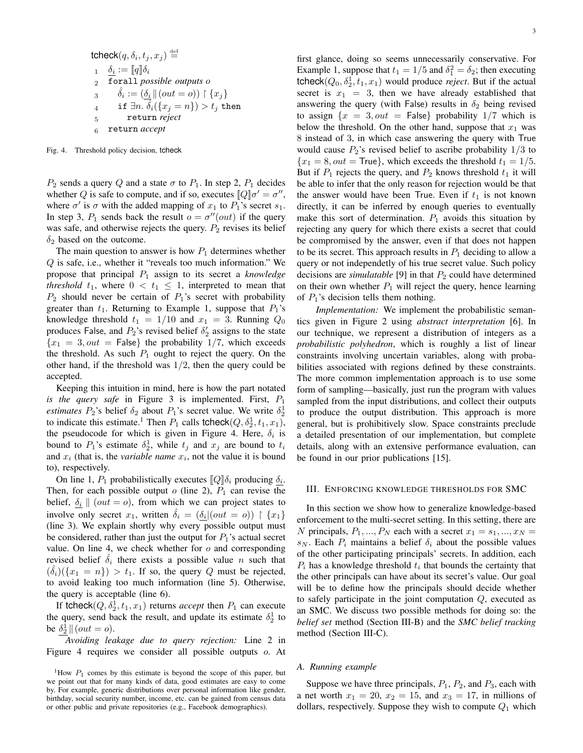$$
\begin{array}{ll}\n\text{tcheck}(q, \delta_i, t_j, x_j) \stackrel{\text{def}}{=} \\
1 & \underline{\delta_i} := [\![q]\!] \delta_i \\
2 & \text{for all possible outputs } o \\
3 & \delta_i := (\underline{\delta_i} || (out = o)) \restriction \{x_j\} \\
4 & \text{if } \exists n. \ \hat{\delta_i} (\{x_j = n\}) > t_j \ \text{then} \\
5 & \text{return reject}\n\end{array}
$$

<sup>6</sup> return *accept*

Fig. 4. Threshold policy decision, tcheck

 $P_2$  sends a query Q and a state  $\sigma$  to  $P_1$ . In step 2,  $P_1$  decides whether Q is safe to compute, and if so, executes  $[Q]\sigma' = \sigma''$ , where  $\sigma'$  is  $\sigma$  with the added mapping of  $x_1$  to  $P_1$ 's secret  $s_1$ . In step 3,  $P_1$  sends back the result  $o = \sigma''(out)$  if the query was safe, and otherwise rejects the query.  $P_2$  revises its belief  $\delta_2$  based on the outcome.

The main question to answer is how  $P_1$  determines whether Q is safe, i.e., whether it "reveals too much information." We propose that principal P<sup>1</sup> assign to its secret a *knowledge threshold*  $t_1$ , where  $0 < t_1 \leq 1$ , interpreted to mean that  $P_2$  should never be certain of  $P_1$ 's secret with probability greater than  $t_1$ . Returning to Example 1, suppose that  $P_1$ 's knowledge threshold  $t_1 = 1/10$  and  $x_1 = 3$ . Running  $Q_0$ produces False, and  $P_2$ 's revised belief  $\delta_2$  assigns to the state  ${x_1 = 3, out = False}$  the probability 1/7, which exceeds the threshold. As such  $P_1$  ought to reject the query. On the other hand, if the threshold was  $1/2$ , then the query could be accepted.

Keeping this intuition in mind, here is how the part notated *is the query safe* in Figure 3 is implemented. First, P<sup>1</sup> *estimates*  $P_2$ 's belief  $\delta_2$  about  $P_1$ 's secret value. We write  $\delta_2^1$ to indicate this estimate.<sup>1</sup> Then  $P_1$  calls tcheck( $Q, \delta_2^1, t_1, x_1$ ), the pseudocode for which is given in Figure 4. Here,  $\delta_i$  is bound to  $P_1$ 's estimate  $\delta_2^1$ , while  $t_j$  and  $x_j$  are bound to  $t_i$ and  $x_i$  (that is, the *variable name*  $x_i$ , not the value it is bound to), respectively.

On line 1,  $P_1$  probabilistically executes  $[Q]\delta_i$  producing  $\delta_i$ . Then, for each possible output  $o$  (line 2),  $P_1$  can revise the belief,  $\delta_i$  || (*out* = *o*), from which we can project states to involve only secret  $x_1$ , written  $\hat{\delta}_i = (\delta_i | (out = o)) \upharpoonright \{x_1\}$ (line 3). We explain shortly why every possible output must be considered, rather than just the output for  $P_1$ 's actual secret value. On line 4, we check whether for  $o$  and corresponding revised belief  $\hat{\delta}_i$  there exists a possible value n such that  $(\hat{\delta}_i)(\{x_1 = n\}) > t_1$ . If so, the query Q must be rejected, to avoid leaking too much information (line 5). Otherwise, the query is acceptable (line 6).

If tcheck $(Q, \delta_2^1, t_1, x_1)$  returns *accept* then  $P_1$  can execute the query, send back the result, and update its estimate  $\delta_2^1$  to be  $\delta_2^1 \parallel (out = o)$ .

*Avoiding leakage due to query rejection:* Line 2 in Figure 4 requires we consider all possible outputs o. At first glance, doing so seems unnecessarily conservative. For Example 1, suppose that  $t_1 = 1/5$  and  $\delta_1^2 = \delta_2$ ; then executing  $t$ check $(Q_0, \delta_2^1, t_1, x_1)$  would produce *reject*. But if the actual secret is  $x_1 = 3$ , then we have already established that answering the query (with False) results in  $\delta_2$  being revised to assign  $\{x = 3, out = \text{False}\}\$  probability  $1/7$  which is below the threshold. On the other hand, suppose that  $x_1$  was 8 instead of 3, in which case answering the query with True would cause  $P_2$ 's revised belief to ascribe probability  $1/3$  to  ${x_1 = 8, out = True}$ , which exceeds the threshold  $t_1 = 1/5$ . But if  $P_1$  rejects the query, and  $P_2$  knows threshold  $t_1$  it will be able to infer that the only reason for rejection would be that the answer would have been True. Even if  $t_1$  is not known directly, it can be inferred by enough queries to eventually make this sort of determination.  $P_1$  avoids this situation by rejecting any query for which there exists a secret that could be compromised by the answer, even if that does not happen to be its secret. This approach results in  $P_1$  deciding to allow a query or not independetly of his true secret value. Such policy decisions are *simulatable* [9] in that  $P_2$  could have determined on their own whether  $P_1$  will reject the query, hence learning of  $P_1$ 's decision tells them nothing.

*Implementation:* We implement the probabilistic semantics given in Figure 2 using *abstract interpretation* [6]. In our technique, we represent a distribution of integers as a *probabilistic polyhedron*, which is roughly a list of linear constraints involving uncertain variables, along with probabilities associated with regions defined by these constraints. The more common implementation approach is to use some form of sampling—basically, just run the program with values sampled from the input distributions, and collect their outputs to produce the output distribution. This approach is more general, but is prohibitively slow. Space constraints preclude a detailed presentation of our implementation, but complete details, along with an extensive performance evaluation, can be found in our prior publications [15].

#### III. ENFORCING KNOWLEDGE THRESHOLDS FOR SMC

In this section we show how to generalize knowledge-based enforcement to the multi-secret setting. In this setting, there are N principals,  $P_1, ..., P_N$  each with a secret  $x_1 = s_1, ..., x_N =$  $s_N$ . Each  $P_i$  maintains a belief  $\delta_i$  about the possible values of the other participating principals' secrets. In addition, each  $P_i$  has a knowledge threshold  $t_i$  that bounds the certainty that the other principals can have about its secret's value. Our goal will be to define how the principals should decide whether to safely participate in the joint computation Q, executed as an SMC. We discuss two possible methods for doing so: the *belief set* method (Section III-B) and the *SMC belief tracking* method (Section III-C).

# *A. Running example*

Suppose we have three principals,  $P_1$ ,  $P_2$ , and  $P_3$ , each with a net worth  $x_1 = 20$ ,  $x_2 = 15$ , and  $x_3 = 17$ , in millions of dollars, respectively. Suppose they wish to compute  $Q_1$  which

<sup>&</sup>lt;sup>1</sup>How  $P_1$  comes by this estimate is beyond the scope of this paper, but we point out that for many kinds of data, good estimates are easy to come by. For example, generic distributions over personal information like gender, birthday, social security number, income, etc. can be gained from census data or other public and private repositories (e.g., Facebook demographics).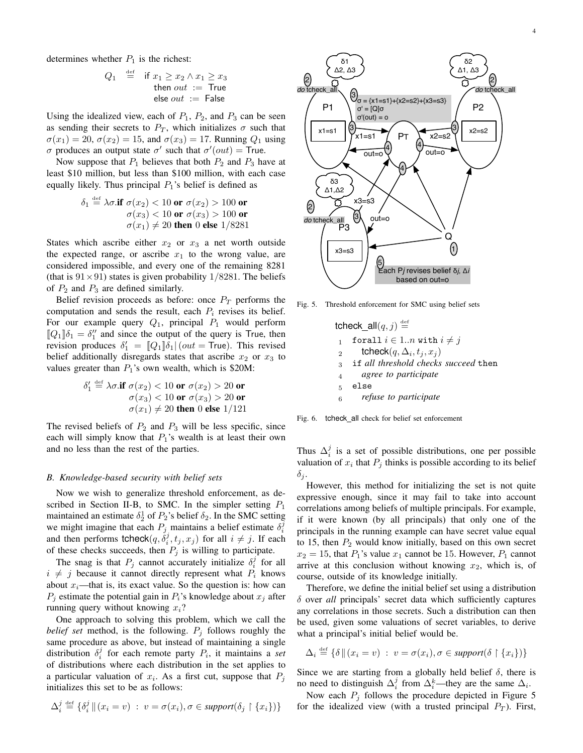determines whether  $P_1$  is the richest:

$$
Q_1 \stackrel{\text{def}}{=} \text{if } x_1 \ge x_2 \land x_1 \ge x_3
$$
  
then *out* := True  
else *out* := False

Using the idealized view, each of  $P_1$ ,  $P_2$ , and  $P_3$  can be seen as sending their secrets to  $P_T$ , which initializes  $\sigma$  such that  $\sigma(x_1) = 20$ ,  $\sigma(x_2) = 15$ , and  $\sigma(x_3) = 17$ . Running  $Q_1$  using σ produces an output state σ' such that  $σ' (out) = True$ .

Now suppose that  $P_1$  believes that both  $P_2$  and  $P_3$  have at least \$10 million, but less than \$100 million, with each case equally likely. Thus principal  $P_1$ 's belief is defined as

$$
\delta_1 \stackrel{\text{def}}{=} \lambda \sigma.\text{if } \sigma(x_2) < 10 \text{ or } \sigma(x_2) > 100 \text{ or } \sigma(x_3) < 100 \text{ or } \sigma(x_3) > 100 \text{ or } \sigma(x_1) \neq 20 \text{ then } 0 \text{ else } 1/8281
$$

States which ascribe either  $x_2$  or  $x_3$  a net worth outside the expected range, or ascribe  $x_1$  to the wrong value, are considered impossible, and every one of the remaining 8281 (that is  $91 \times 91$ ) states is given probability  $1/8281$ . The beliefs of  $P_2$  and  $P_3$  are defined similarly.

Belief revision proceeds as before: once  $P_T$  performs the computation and sends the result, each  $P_i$  revises its belief. For our example query  $Q_1$ , principal  $P_1$  would perform  $[Q_1]\delta_1 = \delta_1''$  and since the output of the query is True, then revision produces  $\delta_1' = [Q_1]\delta_1 | (out = True)$ . This revised belief additionally disregards states that ascribe  $x_2$  or  $x_3$  to values greater than  $P_1$ 's own wealth, which is \$20M:

$$
\delta_1' \stackrel{\text{def}}{=} \lambda \sigma.\text{if } \sigma(x_2) < 10 \text{ or } \sigma(x_2) > 20 \text{ or } \sigma(x_3) < 10 \text{ or } \sigma(x_3) > 20 \text{ or } \sigma(x_1) \neq 20 \text{ then } 0 \text{ else } 1/121
$$

The revised beliefs of  $P_2$  and  $P_3$  will be less specific, since each will simply know that  $P_1$ 's wealth is at least their own and no less than the rest of the parties.

## *B. Knowledge-based security with belief sets*

Now we wish to generalize threshold enforcement, as described in Section II-B, to SMC. In the simpler setting  $P_1$ maintained an estimate  $\delta_2^1$  of  $P_2$ 's belief  $\delta_2$ . In the SMC setting we might imagine that each  $P_j$  maintains a belief estimate  $\delta_i^{\overline{j}}$ and then performs tcheck $(q, \dot{\delta}_i^j, t_j, x_j)$  for all  $i \neq j$ . If each of these checks succeeds, then  $P_j$  is willing to participate.

The snag is that  $P_j$  cannot accurately initialize  $\delta_i^j$  for all  $i \neq j$  because it cannot directly represent what  $P_i$  knows about  $x_i$ —that is, its exact value. So the question is: how can  $P_j$  estimate the potential gain in  $P_i$ 's knowledge about  $x_j$  after running query without knowing  $x_i$ ?

One approach to solving this problem, which we call the *belief set* method, is the following.  $P_j$  follows roughly the same procedure as above, but instead of maintaining a single distribution  $\delta_i^j$  for each remote party  $P_i$ , it maintains a *set* of distributions where each distribution in the set applies to a particular valuation of  $x_i$ . As a first cut, suppose that  $P_j$ initializes this set to be as follows:

$$
\Delta_i^j \stackrel{\text{def}}{=} \{ \delta_i^j \, || \, (x_i = v) \; : \; v = \sigma(x_i), \sigma \in support(\delta_j \upharpoonright \{x_i\}) \}
$$



Fig. 5. Threshold enforcement for SMC using belief sets

tcheck\_all $(q, j) \stackrel{\text{def}}{=}$ 1 forall  $i \in 1..n$  with  $i \neq j$  $_2$  tcheck $(q,\Delta_i,t_j,x_j)$ <sup>3</sup> if *all threshold checks succeed* then <sup>4</sup> *agree to participate* <sup>5</sup> else <sup>6</sup> *refuse to participate*

Fig. 6. tcheck\_all check for belief set enforcement

Thus  $\Delta_i^j$  is a set of possible distributions, one per possible valuation of  $x_i$  that  $P_j$  thinks is possible according to its belief  $\delta_j$ .

However, this method for initializing the set is not quite expressive enough, since it may fail to take into account correlations among beliefs of multiple principals. For example, if it were known (by all principals) that only one of the principals in the running example can have secret value equal to 15, then  $P_2$  would know initially, based on this own secret  $x_2 = 15$ , that  $P_1$ 's value  $x_1$  cannot be 15. However,  $P_1$  cannot arrive at this conclusion without knowing  $x_2$ , which is, of course, outside of its knowledge initially.

Therefore, we define the initial belief set using a distribution δ over *all* principals' secret data which sufficiently captures any correlations in those secrets. Such a distribution can then be used, given some valuations of secret variables, to derive what a principal's initial belief would be.

$$
\Delta_i \stackrel{\text{def}}{=} \{ \delta \mid (x_i = v) : v = \sigma(x_i), \sigma \in support(\delta \restriction \{x_i\}) \}
$$

Since we are starting from a globally held belief  $\delta$ , there is no need to distinguish  $\Delta_i^j$  from  $\Delta_i^k$ —they are the same  $\Delta_i$ .

Now each  $P_i$  follows the procedure depicted in Figure 5 for the idealized view (with a trusted principal  $P_T$ ). First,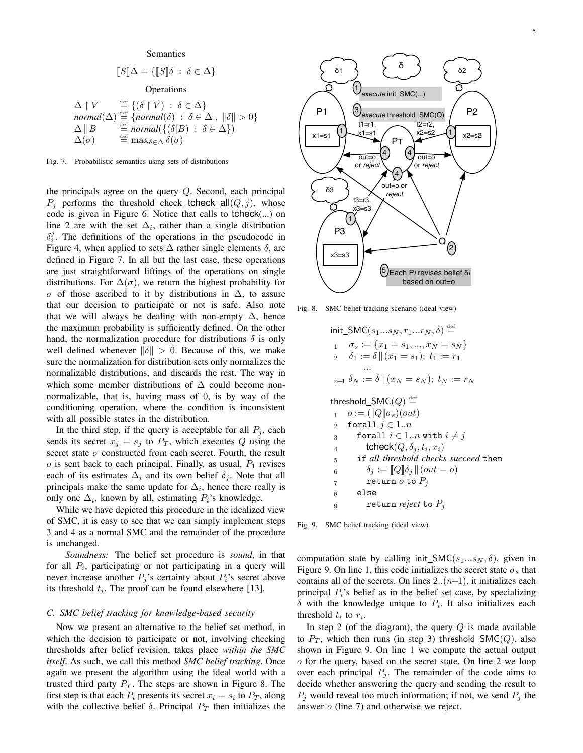Semantics

$$
[\![S]\!] \Delta = \{ [\![S]\!] \delta \; : \; \delta \in \Delta \}
$$

Operations

$$
\Delta \upharpoonright V \stackrel{\text{def}}{=} \{ (\delta \upharpoonright V) : \delta \in \Delta \}
$$
\n
$$
\text{normal}(\Delta) \stackrel{\text{def}}{=} \{ \text{normal}(\delta) : \delta \in \Delta \, , \, ||\delta|| > 0 \}
$$
\n
$$
\Delta \parallel B \stackrel{\text{def}}{=} \text{normal}(\{ (\delta \vert B) : \delta \in \Delta \})
$$
\n
$$
\Delta(\sigma) \stackrel{\text{def}}{=} \max_{\delta \in \Delta} \delta(\sigma)
$$

Fig. 7. Probabilistic semantics using sets of distributions

the principals agree on the query  $Q$ . Second, each principal  $P_i$  performs the threshold check tcheck all  $(Q, j)$ , whose code is given in Figure 6. Notice that calls to tcheck(...) on line 2 are with the set  $\Delta_i$ , rather than a single distribution  $\delta_i^j$ . The definitions of the operations in the pseudocode in Figure 4, when applied to sets  $\Delta$  rather single elements  $\delta$ , are defined in Figure 7. In all but the last case, these operations are just straightforward liftings of the operations on single distributions. For  $\Delta(\sigma)$ , we return the highest probability for σ of those ascribed to it by distributions in ∆, to assure that our decision to participate or not is safe. Also note that we will always be dealing with non-empty  $\Delta$ , hence the maximum probability is sufficiently defined. On the other hand, the normalization procedure for distributions  $\delta$  is only well defined whenever  $\|\delta\| > 0$ . Because of this, we make sure the normalization for distribution sets only normalizes the normalizable distributions, and discards the rest. The way in which some member distributions of  $\Delta$  could become nonnormalizable, that is, having mass of 0, is by way of the conditioning operation, where the condition is inconsistent with all possible states in the distribution.

In the third step, if the query is acceptable for all  $P_i$ , each sends its secret  $x_j = s_j$  to  $P_T$ , which executes Q using the secret state  $\sigma$  constructed from each secret. Fourth, the result  $o$  is sent back to each principal. Finally, as usual,  $P_1$  revises each of its estimates  $\Delta_i$  and its own belief  $\delta_j$ . Note that all principals make the same update for  $\Delta_i$ , hence there really is only one  $\Delta_i$ , known by all, estimating  $P_i$ 's knowledge.

While we have depicted this procedure in the idealized view of SMC, it is easy to see that we can simply implement steps 3 and 4 as a normal SMC and the remainder of the procedure is unchanged.

*Soundness:* The belief set procedure is *sound*, in that for all  $P_i$ , participating or not participating in a query will never increase another  $P_j$ 's certainty about  $P_i$ 's secret above its threshold  $t_i$ . The proof can be found elsewhere [13].

# *C. SMC belief tracking for knowledge-based security*

Now we present an alternative to the belief set method, in which the decision to participate or not, involving checking thresholds after belief revision, takes place *within the SMC itself*. As such, we call this method *SMC belief tracking*. Once again we present the algorithm using the ideal world with a trusted third party  $P_T$ . The steps are shown in Figure 8. The first step is that each  $P_i$  presents its secret  $x_i = s_i$  to  $P_T$ , along with the collective belief  $\delta$ . Principal  $P_T$  then initializes the



Fig. 8. SMC belief tracking scenario (ideal view)

$$
\begin{aligned}\n\text{init\_SMC}(s_1...s_N, r_1...r_N, \delta) & \stackrel{\text{def}}{=} \\
1 & \sigma_s := \{x_1 = s_1, ..., x_N = s_N\} \\
2 & \delta_1 := \delta \|(x_1 = s_1); \ t_1 := r_1 \\
& \dots \\
n+1 & \delta_N := \delta \|(x_N = s_N); \ t_N := r_N \\
\text{threshold\_SMC}(Q) & \stackrel{\text{def}}{=} \\
1 & \sigma := (\llbracket Q \rrbracket \sigma_s)(out) \\
2 & \text{forall } j \in 1..n \\
3 & \text{forall } i \in 1..n \text{ with } i \neq j \\
4 & \text{theck}(Q, \delta_j, t_i, x_i) \\
5 & \text{if all threshold checks succeed then} \\
6 & \delta_j := \llbracket Q \rrbracket \delta_j \|(out = o) \\
7 & \text{return } o \text{ to } P_j \\
8 & \text{else} \\
9 & \text{return reject to } P_j\n\end{aligned}
$$

Fig. 9. SMC belief tracking (ideal view)

computation state by calling init\_SMC( $s_1...s_N$ ,  $\delta$ ), given in Figure 9. On line 1, this code initializes the secret state  $\sigma_s$  that contains all of the secrets. On lines  $2.(n+1)$ , it initializes each principal  $P_i$ 's belief as in the belief set case, by specializing  $\delta$  with the knowledge unique to  $P_i$ . It also initializes each threshold  $t_i$  to  $r_i$ .

In step 2 (of the diagram), the query  $Q$  is made available to  $P_T$ , which then runs (in step 3) threshold\_SMC(Q), also shown in Figure 9. On line 1 we compute the actual output o for the query, based on the secret state. On line 2 we loop over each principal  $P_j$ . The remainder of the code aims to decide whether answering the query and sending the result to  $P_i$  would reveal too much information; if not, we send  $P_j$  the answer o (line 7) and otherwise we reject.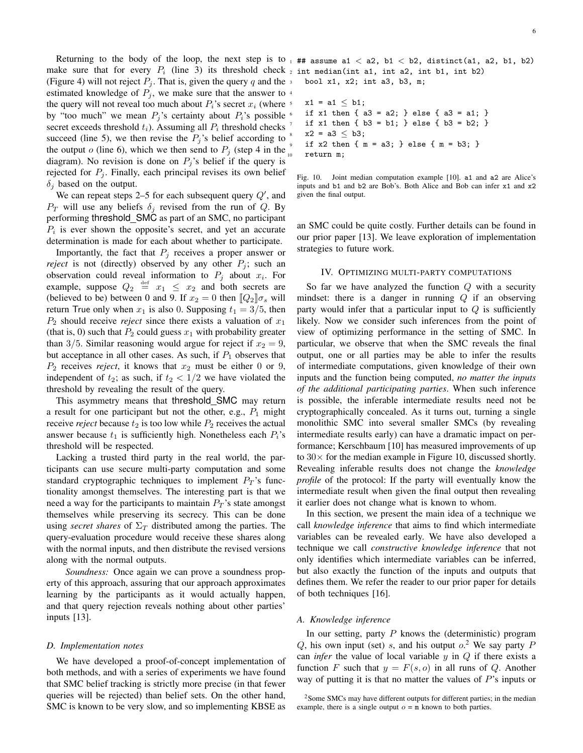Returning to the body of the loop, the next step is to  $_1$  ## assume a1 < a2, b1 < b2, distinct(a1, a2, b1, b2) make sure that for every  $P_i$  (line 3) its threshold check  $_2$  int median(int a1, int a2, int b1, int b2) (Figure 4) will not reject  $P_i$ . That is, given the query q and the  $\frac{1}{3}$ estimated knowledge of  $P_j$ , we make sure that the answer to  $\frac{4}{3}$ the query will not reveal too much about  $P_i$ 's secret  $x_i$  (where  $\frac{1}{2}$ by "too much" we mean  $P_i$ 's certainty about  $P_i$ 's possible  $\epsilon$ secret exceeds threshold  $t_i$ ). Assuming all  $P_i$  threshold checks succeed (line 5), we then revise the  $P_i$ 's belief according to the output o (line 6), which we then send to  $P_i$  (step 4 in the diagram). No revision is done on  $P_j$ 's belief if the query is rejected for  $P_j$ . Finally, each principal revises its own belief  $\delta_i$  based on the output.

We can repeat steps 2–5 for each subsequent query  $Q'$ , and  $P_T$  will use any beliefs  $\delta_i$  revised from the run of Q. By performing threshold SMC as part of an SMC, no participant  $P_i$  is ever shown the opposite's secret, and yet an accurate determination is made for each about whether to participate.

Importantly, the fact that  $P_i$  receives a proper answer or *reject* is not (directly) observed by any other  $P_i$ ; such an observation could reveal information to  $P_j$  about  $x_i$ . For example, suppose  $Q_2 \stackrel{\text{def}}{=} x_1 \leq x_2$  and both secrets are (believed to be) between 0 and 9. If  $x_2 = 0$  then  $[Q_2]\sigma_s$  will return True only when  $x_1$  is also 0. Supposing  $t_1 = 3/5$ , then  $P_2$  should receive *reject* since there exists a valuation of  $x_1$ (that is, 0) such that  $P_2$  could guess  $x_1$  with probability greater than 3/5. Similar reasoning would argue for reject if  $x_2 = 9$ , but acceptance in all other cases. As such, if  $P_1$  observes that  $P_2$  receives *reject*, it knows that  $x_2$  must be either 0 or 9, independent of  $t_2$ ; as such, if  $t_2 < 1/2$  we have violated the threshold by revealing the result of the query.

This asymmetry means that threshold SMC may return a result for one participant but not the other, e.g.,  $P_1$  might receive *reject* because  $t_2$  is too low while  $P_2$  receives the actual answer because  $t_1$  is sufficiently high. Nonetheless each  $P_i$ 's threshold will be respected.

Lacking a trusted third party in the real world, the participants can use secure multi-party computation and some standard cryptographic techniques to implement  $P_T$ 's functionality amongst themselves. The interesting part is that we need a way for the participants to maintain  $P_T$ 's state amongst themselves while preserving its secrecy. This can be done using *secret shares* of  $\Sigma_T$  distributed among the parties. The query-evaluation procedure would receive these shares along with the normal inputs, and then distribute the revised versions along with the normal outputs.

*Soundness:* Once again we can prove a soundness property of this approach, assuring that our approach approximates learning by the participants as it would actually happen, and that query rejection reveals nothing about other parties' inputs [13].

#### *D. Implementation notes*

We have developed a proof-of-concept implementation of both methods, and with a series of experiments we have found that SMC belief tracking is strictly more precise (in that fewer queries will be rejected) than belief sets. On the other hand, SMC is known to be very slow, and so implementing KBSE as  $x1 = a1 \leq b1;$ if x1 then {  $a3 = a2$ ; } else {  $a3 = a1$ ; } if x1 then  $\{ b3 = b1; \}$  else  $\{ b3 = b2; \}$  $x2 = a3 \le b3;$ if x2 then  ${ m = a3; }$  else  ${ m = b3; }$ return m:



an SMC could be quite costly. Further details can be found in our prior paper [13]. We leave exploration of implementation strategies to future work.

#### IV. OPTIMIZING MULTI-PARTY COMPUTATIONS

So far we have analyzed the function  $Q$  with a security mindset: there is a danger in running  $Q$  if an observing party would infer that a particular input to  $Q$  is sufficiently likely. Now we consider such inferences from the point of view of optimizing performance in the setting of SMC. In particular, we observe that when the SMC reveals the final output, one or all parties may be able to infer the results of intermediate computations, given knowledge of their own inputs and the function being computed, *no matter the inputs of the additional participating parties*. When such inference is possible, the inferable intermediate results need not be cryptographically concealed. As it turns out, turning a single monolithic SMC into several smaller SMCs (by revealing intermediate results early) can have a dramatic impact on performance; Kerschbaum [10] has measured improvements of up to  $30\times$  for the median example in Figure 10, discussed shortly. Revealing inferable results does not change the *knowledge profile* of the protocol: If the party will eventually know the intermediate result when given the final output then revealing it earlier does not change what is known to whom.

In this section, we present the main idea of a technique we call *knowledge inference* that aims to find which intermediate variables can be revealed early. We have also developed a technique we call *constructive knowledge inference* that not only identifies which intermediate variables can be inferred, but also exactly the function of the inputs and outputs that defines them. We refer the reader to our prior paper for details of both techniques [16].

#### *A. Knowledge inference*

In our setting, party  $P$  knows the (deterministic) program Q, his own input (set) s, and his output  $o^2$ . We say party P can *infer* the value of local variable  $y$  in  $Q$  if there exists a function F such that  $y = F(s, o)$  in all runs of Q. Another way of putting it is that no matter the values of  $P$ 's inputs or

<sup>&</sup>lt;sup>2</sup>Some SMCs may have different outputs for different parties; in the median example, there is a single output  $o = m$  known to both parties.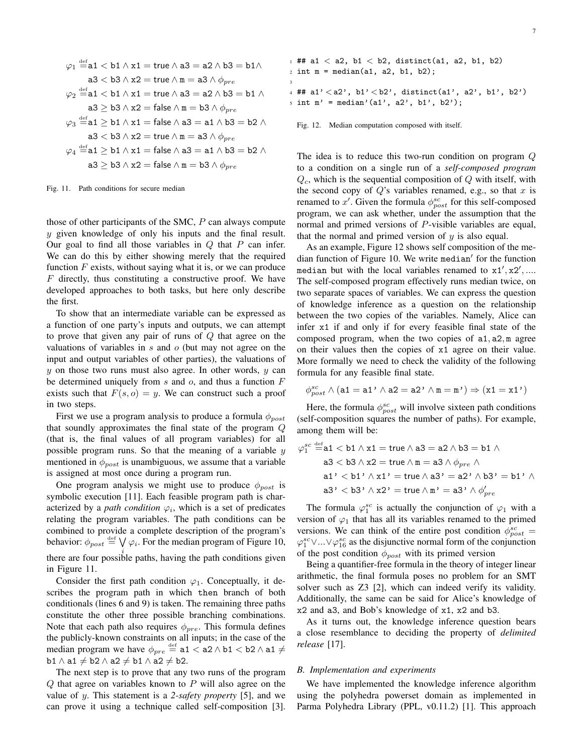$$
\varphi_1 \stackrel{\text{def}}{=} a1 < b1 \land x1 = \text{true} \land a3 = a2 \land b3 = b1 \land
$$
\n
$$
a3 < b3 \land x2 = \text{true} \land m = a3 \land \phi_{pre}
$$
\n
$$
\varphi_2 \stackrel{\text{def}}{=} a1 < b1 \land x1 = \text{true} \land a3 = a2 \land b3 = b1 \land
$$
\n
$$
a3 \ge b3 \land x2 = \text{false} \land m = b3 \land \phi_{pre}
$$
\n
$$
\varphi_3 \stackrel{\text{def}}{=} a1 \ge b1 \land x1 = \text{false} \land a3 = a1 \land b3 = b2 \land
$$
\n
$$
a3 < b3 \land x2 = \text{true} \land m = a3 \land \phi_{pre}
$$
\n
$$
\varphi_4 \stackrel{\text{def}}{=} a1 \ge b1 \land x1 = \text{false} \land a3 = a1 \land b3 = b2 \land
$$
\n
$$
a3 \ge b3 \land x2 = \text{false} \land m = b3 \land \phi_{pre}
$$

Fig. 11. Path conditions for secure median

those of other participants of the SMC,  $P$  can always compute  $y$  given knowledge of only his inputs and the final result. Our goal to find all those variables in  $Q$  that  $P$  can infer. We can do this by either showing merely that the required function  $F$  exists, without saying what it is, or we can produce F directly, thus constituting a constructive proof. We have developed approaches to both tasks, but here only describe the first.

To show that an intermediate variable can be expressed as a function of one party's inputs and outputs, we can attempt to prove that given any pair of runs of Q that agree on the valuations of variables in  $s$  and  $o$  (but may not agree on the input and output variables of other parties), the valuations of  $y$  on those two runs must also agree. In other words,  $y$  can be determined uniquely from  $s$  and  $o$ , and thus a function  $F$ exists such that  $F(s, o) = y$ . We can construct such a proof in two steps.

First we use a program analysis to produce a formula  $\phi_{post}$ that soundly approximates the final state of the program Q (that is, the final values of all program variables) for all possible program runs. So that the meaning of a variable  $y$ mentioned in  $\phi_{post}$  is unambiguous, we assume that a variable is assigned at most once during a program run.

One program analysis we might use to produce  $\phi_{post}$  is symbolic execution [11]. Each feasible program path is characterized by a *path condition*  $\varphi_i$ , which is a set of predicates relating the program variables. The path conditions can be combined to provide a complete description of the program's behavior:  $\phi_{post} \stackrel{\text{def}}{=} \bigvee \varphi_i$ . For the median program of Figure 10, there are four possible paths, having the path conditions given in Figure 11.

Consider the first path condition  $\varphi_1$ . Conceptually, it describes the program path in which then branch of both conditionals (lines 6 and 9) is taken. The remaining three paths constitute the other three possible branching combinations. Note that each path also requires  $\phi_{pre}$ . This formula defines the publicly-known constraints on all inputs; in the case of the median program we have  $\phi_{pre} \stackrel{\text{def}}{=} \texttt{a1} < \texttt{a2} \land \texttt{b1} < \texttt{b2} \land \texttt{a1} \neq$  $b1 \wedge a1 \neq b2 \wedge a2 \neq b1 \wedge a2 \neq b2.$ 

The next step is to prove that any two runs of the program  $Q$  that agree on variables known to  $P$  will also agree on the value of y. This statement is a *2-safety property* [5], and we can prove it using a technique called self-composition [3].

 ## a1 < a2, b1 < b2, distinct(a1, a2, b1, b2) int  $m = median(a1, a2, b1, b2);$ 4 ## a1'  $\langle$  a2', b1'  $\langle$  b2', distinct(a1', a2', b1', b2') int  $m'$  = median'(a1', a2', b1', b2');

Fig. 12. Median computation composed with itself.

3

The idea is to reduce this two-run condition on program Q to a condition on a single run of a *self-composed program*  $Q_c$ , which is the sequential composition of  $Q$  with itself, with the second copy of  $Q$ 's variables renamed, e.g., so that  $x$  is renamed to x'. Given the formula  $\phi_{post}^{sc}$  for this self-composed program, we can ask whether, under the assumption that the normal and primed versions of P-visible variables are equal, that the normal and primed version of  $y$  is also equal.

As an example, Figure 12 shows self composition of the median function of Figure 10. We write median' for the function median but with the local variables renamed to  $x1', x2', ...$ The self-composed program effectively runs median twice, on two separate spaces of variables. We can express the question of knowledge inference as a question on the relationship between the two copies of the variables. Namely, Alice can infer x1 if and only if for every feasible final state of the composed program, when the two copies of a1, a2, m agree on their values then the copies of x1 agree on their value. More formally we need to check the validity of the following formula for any feasible final state.

$$
\phi^{sc}_{post} \land (a1 = a1' \land a2 = a2' \land \mathtt{m} = \mathtt{m'}) \Rightarrow ( \mathtt{x1} = \mathtt{x1'})
$$

Here, the formula  $\phi_{post}^{sc}$  will involve sixteen path conditions (self-composition squares the number of paths). For example, among them will be:

$$
\varphi_1^{sc} \stackrel{\text{def}}{=} a1 < b1 \land x1 = \text{true} \land a3 = a2 \land b3 = b1 \land a3 < b3 \land x2 = \text{true} \land m = a3 \land \phi_{pre} \land a1' < b1' \land x1' = \text{true} \land a3' = a2' \land b3' = b1' \land a3' < b3' \land x2' = \text{true} \land m' = a3' \land \phi_{pre}'
$$

The formula  $\varphi_1^{sc}$  is actually the conjunction of  $\varphi_1$  with a version of  $\varphi_1$  that has all its variables renamed to the primed versions. We can think of the entire post condition  $\phi_{post}^{sc}$  =  $\varphi_1^{sc} \vee ... \vee \varphi_{16}^{sc}$  as the disjunctive normal form of the conjunction of the post condition  $\phi_{post}$  with its primed version

Being a quantifier-free formula in the theory of integer linear arithmetic, the final formula poses no problem for an SMT solver such as Z3 [2], which can indeed verify its validity. Additionally, the same can be said for Alice's knowledge of x2 and a3, and Bob's knowledge of x1, x2 and b3.

As it turns out, the knowledge inference question bears a close resemblance to deciding the property of *delimited release* [17].

#### *B. Implementation and experiments*

We have implemented the knowledge inference algorithm using the polyhedra powerset domain as implemented in Parma Polyhedra Library (PPL, v0.11.2) [1]. This approach